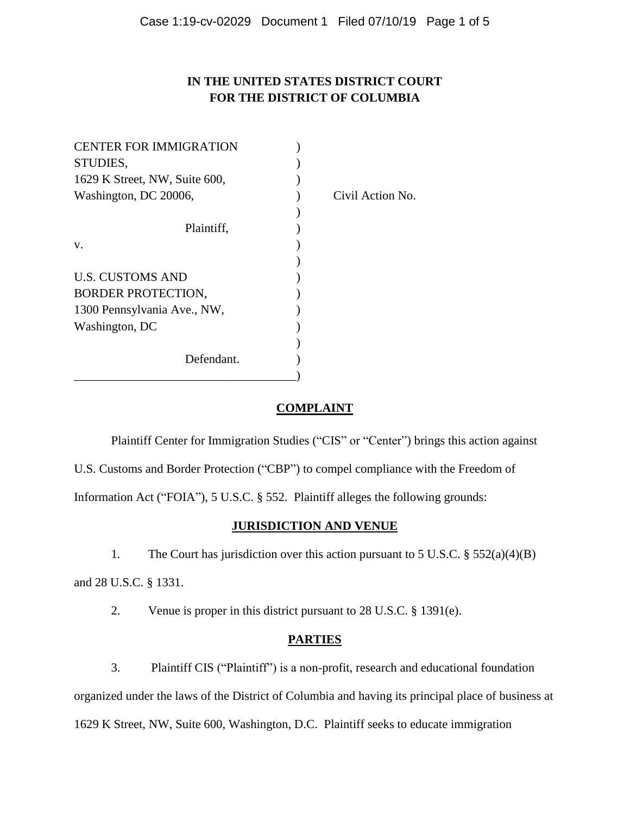# **IN THE UNITED STATES DISTRICT COURT FOR THE DISTRICT OF COLUMBIA**

| <b>CENTER FOR IMMIGRATION</b> |                  |
|-------------------------------|------------------|
| STUDIES,                      |                  |
| 1629 K Street, NW, Suite 600, |                  |
| Washington, DC 20006,         | Civil Action No. |
|                               |                  |
| Plaintiff,                    |                  |
| V.                            |                  |
|                               |                  |
| <b>U.S. CUSTOMS AND</b>       |                  |
| <b>BORDER PROTECTION,</b>     |                  |
| 1300 Pennsylvania Ave., NW,   |                  |
| Washington, DC                |                  |
|                               |                  |
| Defendant.                    |                  |
|                               |                  |

## **COMPLAINT**

Plaintiff Center for Immigration Studies ("CIS" or "Center") brings this action against

U.S. Customs and Border Protection ("CBP") to compel compliance with the Freedom of

Information Act ("FOIA"), 5 U.S.C. § 552. Plaintiff alleges the following grounds:

## **JURISDICTION AND VENUE**

1. The Court has jurisdiction over this action pursuant to 5 U.S.C. § 552(a)(4)(B)

and 28 U.S.C. § 1331.

2. Venue is proper in this district pursuant to 28 U.S.C. § 1391(e).

## **PARTIES**

3. Plaintiff CIS ("Plaintiff") is a non-profit, research and educational foundation

organized under the laws of the District of Columbia and having its principal place of business at

1629 K Street, NW, Suite 600, Washington, D.C. Plaintiff seeks to educate immigration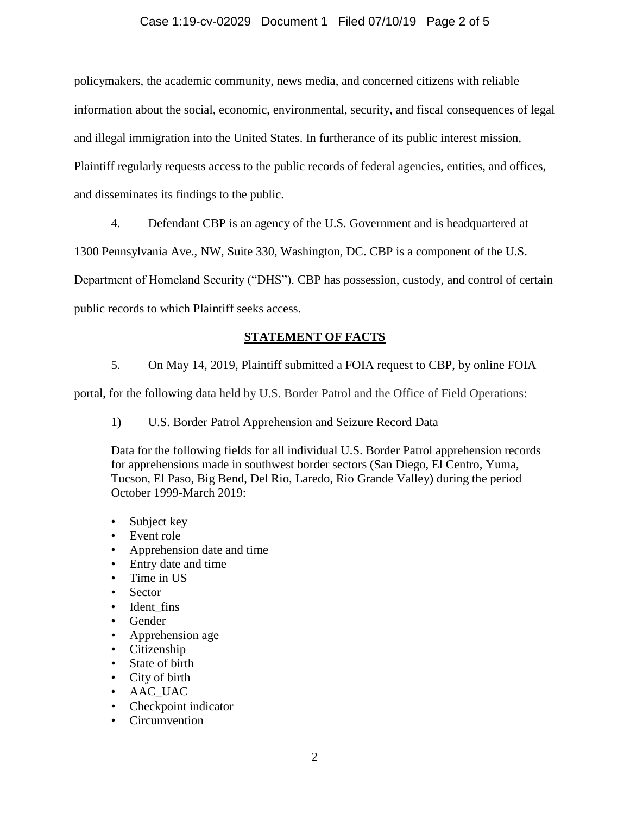### Case 1:19-cv-02029 Document 1 Filed 07/10/19 Page 2 of 5

policymakers, the academic community, news media, and concerned citizens with reliable information about the social, economic, environmental, security, and fiscal consequences of legal and illegal immigration into the United States. In furtherance of its public interest mission, Plaintiff regularly requests access to the public records of federal agencies, entities, and offices, and disseminates its findings to the public.

4. Defendant CBP is an agency of the U.S. Government and is headquartered at

1300 Pennsylvania Ave., NW, Suite 330, Washington, DC. CBP is a component of the U.S.

Department of Homeland Security ("DHS"). CBP has possession, custody, and control of certain

public records to which Plaintiff seeks access.

## **STATEMENT OF FACTS**

5. On May 14, 2019, Plaintiff submitted a FOIA request to CBP, by online FOIA

portal, for the following data held by U.S. Border Patrol and the Office of Field Operations:

1) U.S. Border Patrol Apprehension and Seizure Record Data

Data for the following fields for all individual U.S. Border Patrol apprehension records for apprehensions made in southwest border sectors (San Diego, El Centro, Yuma, Tucson, El Paso, Big Bend, Del Rio, Laredo, Rio Grande Valley) during the period October 1999-March 2019:

- Subject key
- Event role
- Apprehension date and time
- Entry date and time
- Time in US
- Sector
- Ident fins
- Gender
- Apprehension age
- Citizenship
- State of birth
- City of birth
- AAC UAC
- Checkpoint indicator
- Circumvention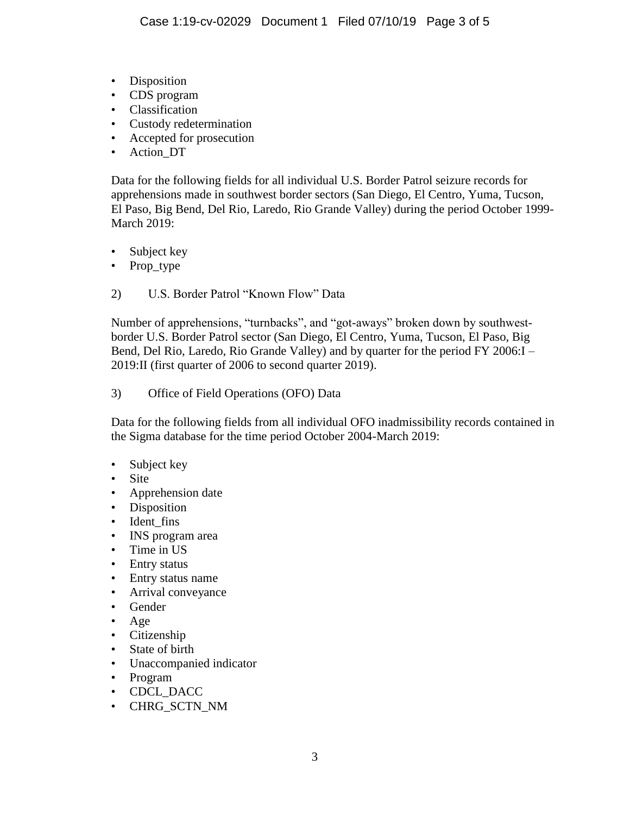- Disposition
- CDS program
- Classification
- Custody redetermination
- Accepted for prosecution
- Action\_DT

Data for the following fields for all individual U.S. Border Patrol seizure records for apprehensions made in southwest border sectors (San Diego, El Centro, Yuma, Tucson, El Paso, Big Bend, Del Rio, Laredo, Rio Grande Valley) during the period October 1999- March 2019:

- Subject key
- Prop\_type
- 2) U.S. Border Patrol "Known Flow" Data

Number of apprehensions, "turnbacks", and "got-aways" broken down by southwestborder U.S. Border Patrol sector (San Diego, El Centro, Yuma, Tucson, El Paso, Big Bend, Del Rio, Laredo, Rio Grande Valley) and by quarter for the period FY 2006:I – 2019:II (first quarter of 2006 to second quarter 2019).

3) Office of Field Operations (OFO) Data

Data for the following fields from all individual OFO inadmissibility records contained in the Sigma database for the time period October 2004-March 2019:

- Subject key
- Site
- Apprehension date
- Disposition
- Ident fins
- INS program area
- Time in US
- Entry status
- Entry status name
- Arrival conveyance
- Gender
- Age
- Citizenship
- State of birth
- Unaccompanied indicator
- Program
- CDCL\_DACC
- CHRG\_SCTN\_NM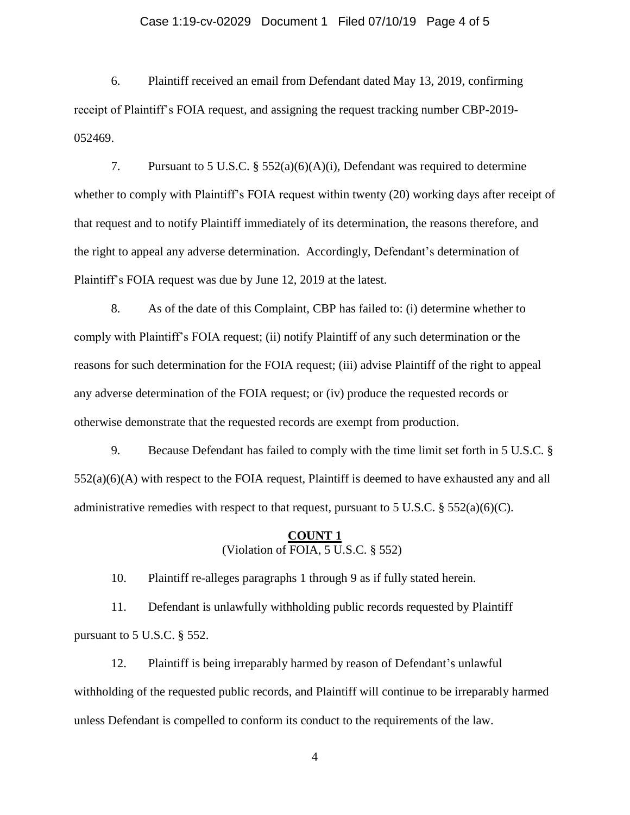#### Case 1:19-cv-02029 Document 1 Filed 07/10/19 Page 4 of 5

6. Plaintiff received an email from Defendant dated May 13, 2019, confirming receipt of Plaintiff's FOIA request, and assigning the request tracking number CBP-2019- 052469.

7. Pursuant to 5 U.S.C. § 552(a)(6)(A)(i), Defendant was required to determine whether to comply with Plaintiff's FOIA request within twenty (20) working days after receipt of that request and to notify Plaintiff immediately of its determination, the reasons therefore, and the right to appeal any adverse determination. Accordingly, Defendant's determination of Plaintiff's FOIA request was due by June 12, 2019 at the latest.

8. As of the date of this Complaint, CBP has failed to: (i) determine whether to comply with Plaintiff's FOIA request; (ii) notify Plaintiff of any such determination or the reasons for such determination for the FOIA request; (iii) advise Plaintiff of the right to appeal any adverse determination of the FOIA request; or (iv) produce the requested records or otherwise demonstrate that the requested records are exempt from production.

9. Because Defendant has failed to comply with the time limit set forth in 5 U.S.C. § 552(a)(6)(A) with respect to the FOIA request, Plaintiff is deemed to have exhausted any and all administrative remedies with respect to that request, pursuant to 5 U.S.C.  $\S 552(a)(6)(C)$ .

### **COUNT 1** (Violation of FOIA, 5 U.S.C. § 552)

10. Plaintiff re-alleges paragraphs 1 through 9 as if fully stated herein.

11. Defendant is unlawfully withholding public records requested by Plaintiff pursuant to 5 U.S.C. § 552.

12. Plaintiff is being irreparably harmed by reason of Defendant's unlawful withholding of the requested public records, and Plaintiff will continue to be irreparably harmed unless Defendant is compelled to conform its conduct to the requirements of the law.

4